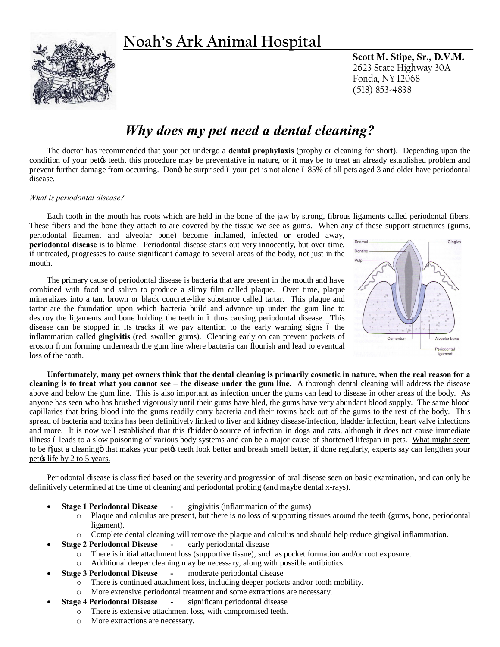# **Noah's Ark Animal Hospital\_\_\_\_\_\_\_\_\_\_\_\_\_\_\_\_\_\_\_\_\_\_\_**



**Scott M. Stipe, Sr., D.V.M.** 2623 State Highway 30A Fonda, NY 12068 (518) 853-4838

## *Why does my pet need a dental cleaning?*

The doctor has recommended that your pet undergo a **dental prophylaxis** (prophy or cleaning for short). Depending upon the condition of your pet $\alpha$  teeth, this procedure may be preventative in nature, or it may be to treat an already established problem and prevent further damage from occurring. Dongt be surprised 6 your pet is not alone 6 85% of all pets aged 3 and older have periodontal disease.

#### *What is periodontal disease?*

Each tooth in the mouth has roots which are held in the bone of the jaw by strong, fibrous ligaments called periodontal fibers. These fibers and the bone they attach to are covered by the tissue we see as gums. When any of these support structures (gums,

periodontal ligament and alveolar bone) become inflamed, infected or eroded away, **periodontal disease** is to blame. Periodontal disease starts out very innocently, but over time, if untreated, progresses to cause significant damage to several areas of the body, not just in the mouth.

The primary cause of periodontal disease is bacteria that are present in the mouth and have combined with food and saliva to produce a slimy film called plaque. Over time, plaque mineralizes into a tan, brown or black concrete-like substance called tartar. This plaque and tartar are the foundation upon which bacteria build and advance up under the gum line to destroy the ligaments and bone holding the teeth in 6 thus causing periodontal disease. This disease can be stopped in its tracks if we pay attention to the early warning signs 6 the inflammation called **gingivitis** (red, swollen gums). Cleaning early on can prevent pockets of erosion from forming underneath the gum line where bacteria can flourish and lead to eventual loss of the tooth.



**Unfortunately, many pet owners think that the dental cleaning is primarily cosmetic in nature, when the real reason for a cleaning is to treat what you cannot see – the disease under the gum line.** A thorough dental cleaning will address the disease above and below the gum line. This is also important as infection under the gums can lead to disease in other areas of the body. As anyone has seen who has brushed vigorously until their gums have bled, the gums have very abundant blood supply. The same blood capillaries that bring blood into the gums readily carry bacteria and their toxins back out of the gums to the rest of the body. This spread of bacteria and toxins has been definitively linked to liver and kidney disease/infection, bladder infection, heart valve infections and more. It is now well established that this onliden is source of infection in dogs and cats, although it does not cause immediate illness 6 leads to a slow poisoning of various body systems and can be a major cause of shortened lifespan in pets. What might seem to be  $\ddot{\text{o}}$ just a cleaningo that makes your pet $\alpha$  teeth look better and breath smell better, if done regularly, experts say can lengthen your pet $\alpha$  life by 2 to 5 years.

Periodontal disease is classified based on the severity and progression of oral disease seen on basic examination, and can only be definitively determined at the time of cleaning and periodontal probing (and maybe dental x-rays).

- **Stage 1 Periodontal Disease** gingivitis (inflammation of the gums)
	- o Plaque and calculus are present, but there is no loss of supporting tissues around the teeth (gums, bone, periodontal ligament).
	- o Complete dental cleaning will remove the plaque and calculus and should help reduce gingival inflammation.
- **Stage 2 Periodontal Disease** early periodontal disease
	- o There is initial attachment loss (supportive tissue), such as pocket formation and/or root exposure.
	- o Additional deeper cleaning may be necessary, along with possible antibiotics.
- · **Stage 3 Periodontal Disease -** moderate periodontal disease
	- o There is continued attachment loss, including deeper pockets and/or tooth mobility.
	- o More extensive periodontal treatment and some extractions are necessary.
- **Stage 4 Periodontal Disease** significant periodontal disease
	- o There is extensive attachment loss, with compromised teeth.
	- o More extractions are necessary.